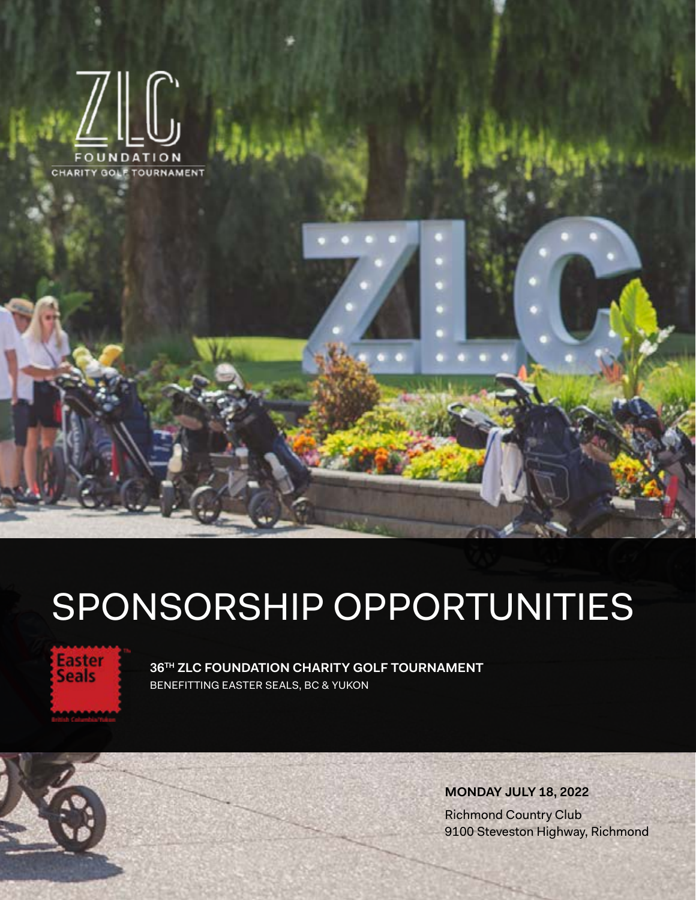

# SPONSORSHIP OPPORTUNITIES



**36TH ZLC FOUNDATION CHARITY GOLF TOURNAMENT** BENEFITTING EASTER SEALS, BC & YUKON

> **MONDAY JULY 18, 2022** Richmond Country Club 9100 Steveston Highway, Richmond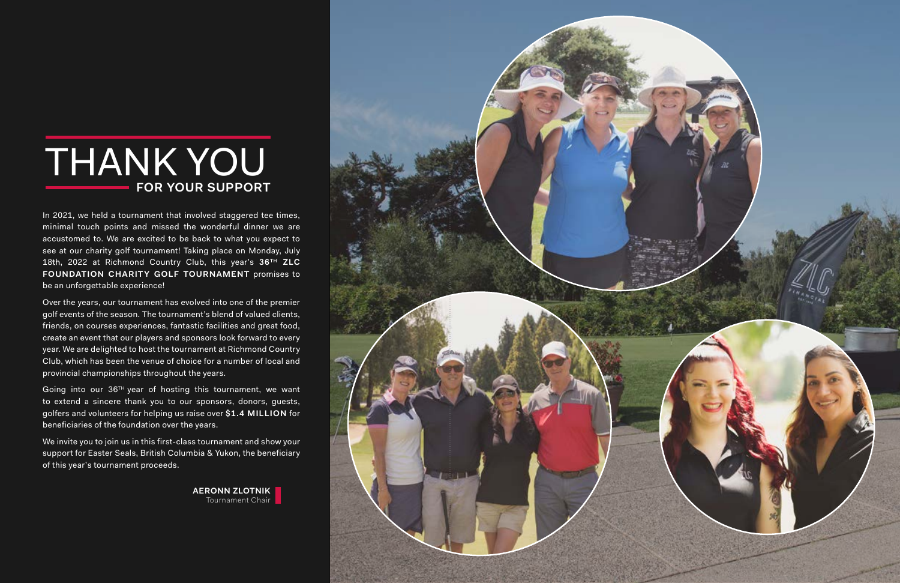



In 2021, we held a tournament that involved staggered tee times, minimal touch points and missed the wonderful dinner we are accustomed to. We are excited to be back to what you expect to see at our charity golf tournament! Taking place on Monday, July 18th, 2022 at Richmond Country Club, this year's **36TH ZLC FOUNDATION CHARITY GOLF TOURNAMENT** promises to be an unforgettable experience!

Over the years, our tournament has evolved into one of the premier golf events of the season. The tournament's blend of valued clients, friends, on courses experiences, fantastic facilities and great food, create an event that our players and sponsors look forward to every year. We are delighted to host the tournament at Richmond Country Club, which has been the venue of choice for a number of local and provincial championships throughout the years.

Going into our 36TH year of hosting this tournament, we want to extend a sincere thank you to our sponsors, donors, guests, golfers and volunteers for helping us raise over **\$1.4 MILLION** for beneficiaries of the foundation over the years.

We invite you to join us in this first-class tournament and show your support for Easter Seals, British Columbia & Yukon, the beneficiary of this year's tournament proceeds.

## **FOR YOUR SUPPORT** THANK YOU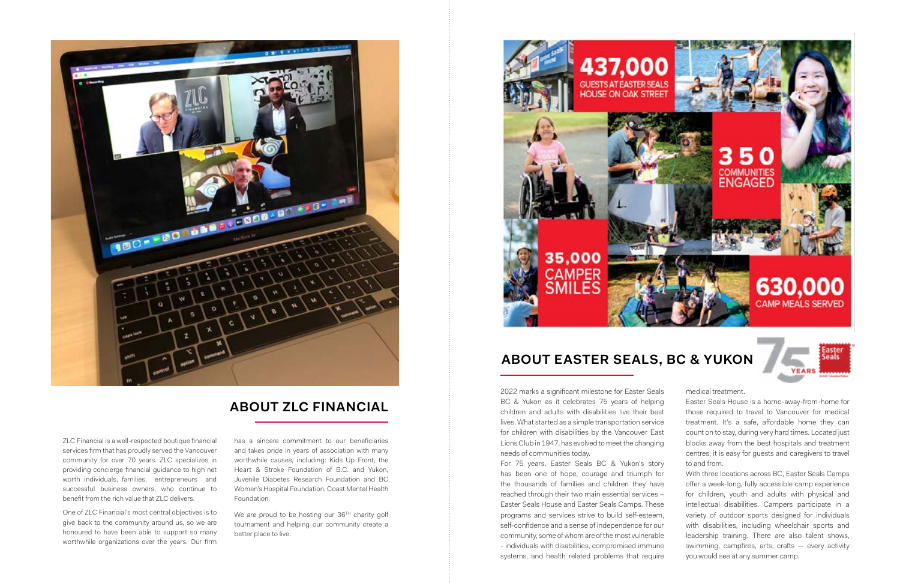2022 marks a significant milestone for Easter Seals BC & Yukon as it celebrates 75 years of helping children and adults with disabilities live their best lives. What started as a simple transportation service for children with disabilities by the Vancouver East Lions Club in 1947, has evolved to meet the changing needs of communities today. For 75 years, Easter Seals BC & Yukon's story Easter Seals House is a home-away-from-home for those required to travel to Vancouver for medical treatment. It's a safe, affordable home they can count on to stay, during very hard times. Located just blocks away from the best hospitals and treatment centres, it is easy for guests and caregivers to travel to and from.

medical treatment.

has been one of hope, courage and triumph for the thousands of families and children they have reached through their two main essential services – Easter Seals House and Easter Seals Camps. These programs and services strive to build self-esteem, self-confidence and a sense of independence for our community, some of whom are of the most vulnerable - individuals with disabilities, compromised immune systems, and health related problems that require With three locations across BC, Easter Seals Camps offer a week-long, fully accessible camp experience for children, youth and adults with physical and intellectual disabilities. Campers participate in a variety of outdoor sports designed for individuals with disabilities, including wheelchair sports and leadership training. There are also talent shows, swimming, campfires, arts, crafts — every activity you would see at any summer camp.

We are proud to be hosting our  $36<sup>TH</sup>$  charity golf tournament and helping our community create a better place to live.



ZLC Financial is a well-respected boutique financial services firm that has proudly served the Vancouver community for over 70 years. ZLC specializes in providing concierge financial guidance to high net worth individuals, families, entrepreneurs and successful business owners, who continue to benefit from the rich value that ZLC delivers.

One of ZLC Financial's most central objectives is to give back to the community around us, so we are honoured to have been able to support so many worthwhile organizations over the years. Our firm

has a sincere commitment to our beneficiaries and takes pride in years of association with many worthwhile causes, including: Kids Up Front, the Heart & Stroke Foundation of B.C. and Yukon, Juvenile Diabetes Research Foundation and BC Women's Hospital Foundation, Coast Mental Health Foundation.



#### **ABOUT ZLC FINANCIAL**

### **ABOUT EASTER SEALS, BC & YUKON**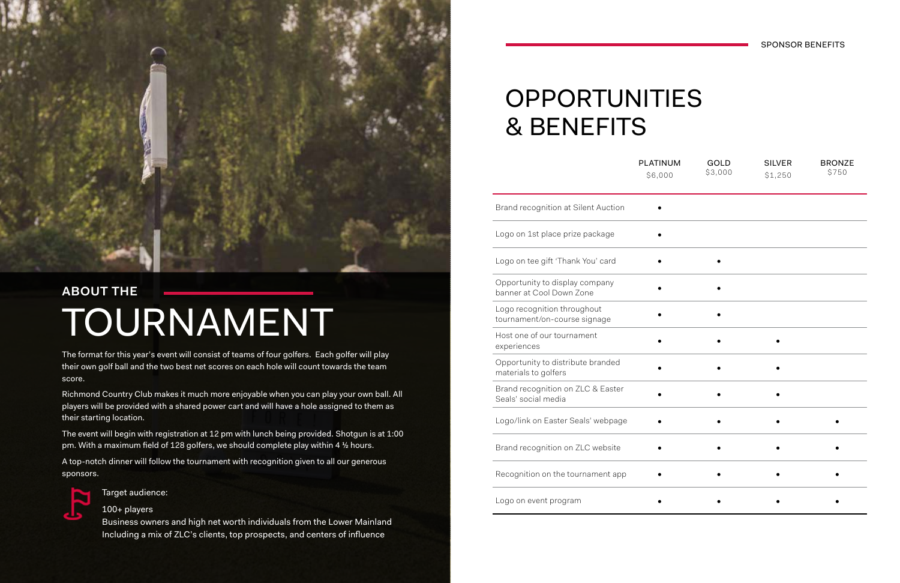|                                                             | <b>FLAIIIVUIVI</b><br>\$6,000 | uuu<br>\$3,000 | ບ⊥∟∨<br>\$1,2 |
|-------------------------------------------------------------|-------------------------------|----------------|---------------|
| Brand recognition at Silent Auction                         |                               |                |               |
| Logo on 1st place prize package                             |                               |                |               |
| Logo on tee gift 'Thank You' card                           |                               |                |               |
| Opportunity to display company<br>banner at Cool Down Zone  |                               |                |               |
| Logo recognition throughout<br>tournament/on-course signage |                               |                |               |
| Host one of our tournament<br>experiences                   |                               |                |               |
| Opportunity to distribute branded<br>materials to golfers   |                               |                |               |
| Brand recognition on ZLC & Easter<br>Seals' social media    |                               |                |               |
| Logo/link on Easter Seals' webpage                          |                               |                |               |
| Brand recognition on ZLC website                            |                               |                |               |
| Recognition on the tournament app                           |                               |                |               |
| Logo on event program                                       |                               |                |               |



### OPPORTUNITIES & BENEFITS

SPONSOR BENEFITS

Target audience:

100+ players

Business owners and high net worth individuals from the Lower Mainland Including a mix of ZLC's clients, top prospects, and centers of influence

The format for this year's event will consist of teams of four golfers. Each golfer will play their own golf ball and the two best net scores on each hole will count towards the team score.

Richmond Country Club makes it much more enjoyable when you can play your own ball. All players will be provided with a shared power cart and will have a hole assigned to them as their starting location.

The event will begin with registration at 12 pm with lunch being provided. Shotgun is at 1:00 pm. With a maximum field of 128 golfers, we should complete play within 4 ½ hours.

A top-notch dinner will follow the tournament with recognition given to all our generous sponsors.



# **ABOUT THE** TOURNAMENT